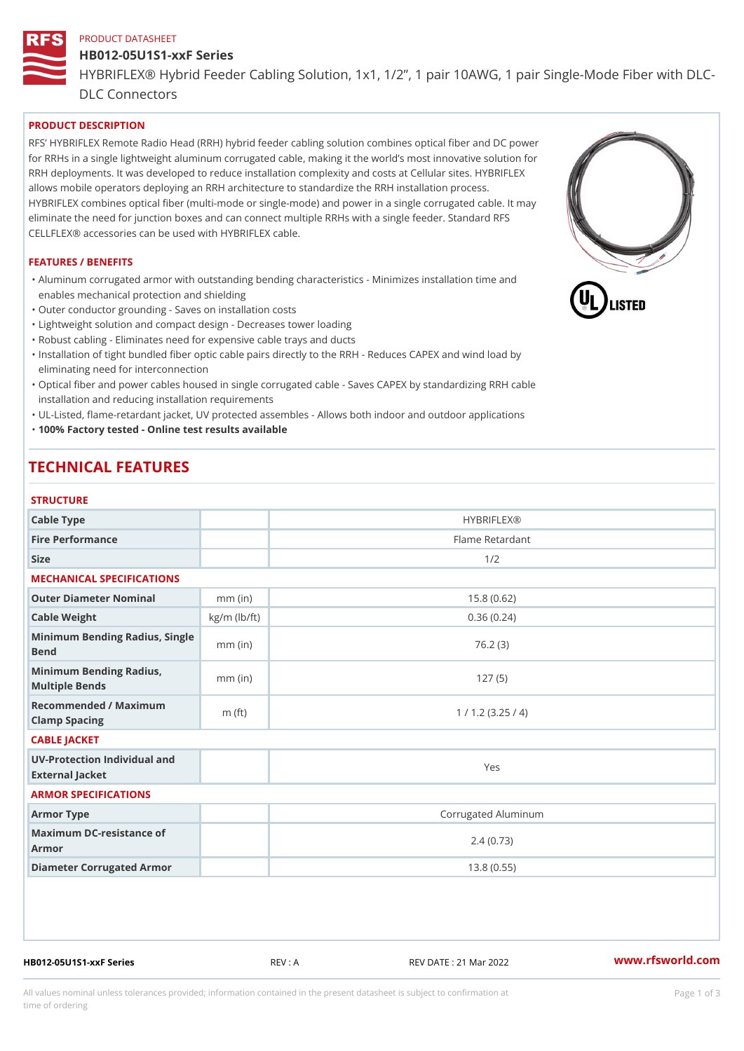### PRODUCT DATASHEET

# HB012-05U1S1-xxF Series HYBRIFLEX® Hybrid Feeder Cabling Solution, 1x1, 1/2, 1 pair 10AWG, DLC Connectors

## PRODUCT DESCRIPTION

RFS HYBRIFLEX Remote Radio Head (RRH) hybrid feeder cabling solution combines optical fiber and for RRHs in a single lightweight aluminum corrugated cable, making it the world s most innovative s RRH deployments. It was developed to reduce installation complexity and costs at Cellular sites. HY allows mobile operators deploying an RRH architecture to standardize the RRH installation process. HYBRIFLEX combines optical fiber (multi-mode or single-mode) and power in a single corrugated cal eliminate the need for junction boxes and can connect multiple RRHs with a single feeder. Standard CELLFLEX® accessories can be used with HYBRIFLEX cable.

#### FEATURES / BENEFITS

"Aluminum corrugated armor with outstanding bending characteristics - Minimizes installation time a enables mechanical protection and shielding

- "Outer conductor grounding Saves on installation costs
- "Lightweight solution and compact design Decreases tower loading
- "Robust cabling Eliminates need for expensive cable trays and ducts
- "Installation of tight bundled fiber optic cable pairs directly to the RRH Reduces CAPEX and wind eliminating need for interconnection
- "Optical fiber and power cables housed in single corrugated cable Saves CAPEX by standardiz|ng installation and reducing installation requirements
- "UL-Listed, flame-retardant jacket, UV protected assembles Allows both indoor and outdoor applic "100% Factory tested - Online test results available

# TECHNICAL FEATURES

## **STRUCTURE**

| Cable Type                                        |                    | <b>HYBRIFLEX®</b>   |  |  |  |
|---------------------------------------------------|--------------------|---------------------|--|--|--|
| Fire Performance                                  |                    | Flame Retardant     |  |  |  |
| Size                                              |                    | 1/2                 |  |  |  |
| MECHANICAL SPECIFICATIONS                         |                    |                     |  |  |  |
| Outer Diameter Nominal                            | $mm$ (in)          | 15.8(0.62)          |  |  |  |
| Cable Weight                                      | $kg/m$ ( $lb/ft$ ) | 0.36(0.24)          |  |  |  |
| Minimum Bending Radius, Single<br>Bend            |                    | 76.2(3)             |  |  |  |
| Minimum Bending Radius, mm (in)<br>Multiple Bends |                    | 127(5)              |  |  |  |
| Recommended / Maximum<br>Clamp Spacing            | $m$ (ft)           | 1 / 1.2 (3.25 / 4)  |  |  |  |
| CABLE JACKET                                      |                    |                     |  |  |  |
| UV-Protection Individual and<br>External Jacket   |                    | Yes                 |  |  |  |
| ARMOR SPECIFICATIONS                              |                    |                     |  |  |  |
| Armor Type                                        |                    | Corrugated Aluminum |  |  |  |
| Maximum DC-resistance of<br>Armor                 |                    | 2.4(0.73)           |  |  |  |
| Diameter Corrugated Armor                         |                    | 13.8(0.55)          |  |  |  |
|                                                   |                    |                     |  |  |  |

HB012-05U1S1-xxF Series REV : A REV DATE : 21 Mar 2022 [www.](https://www.rfsworld.com)rfsworld.com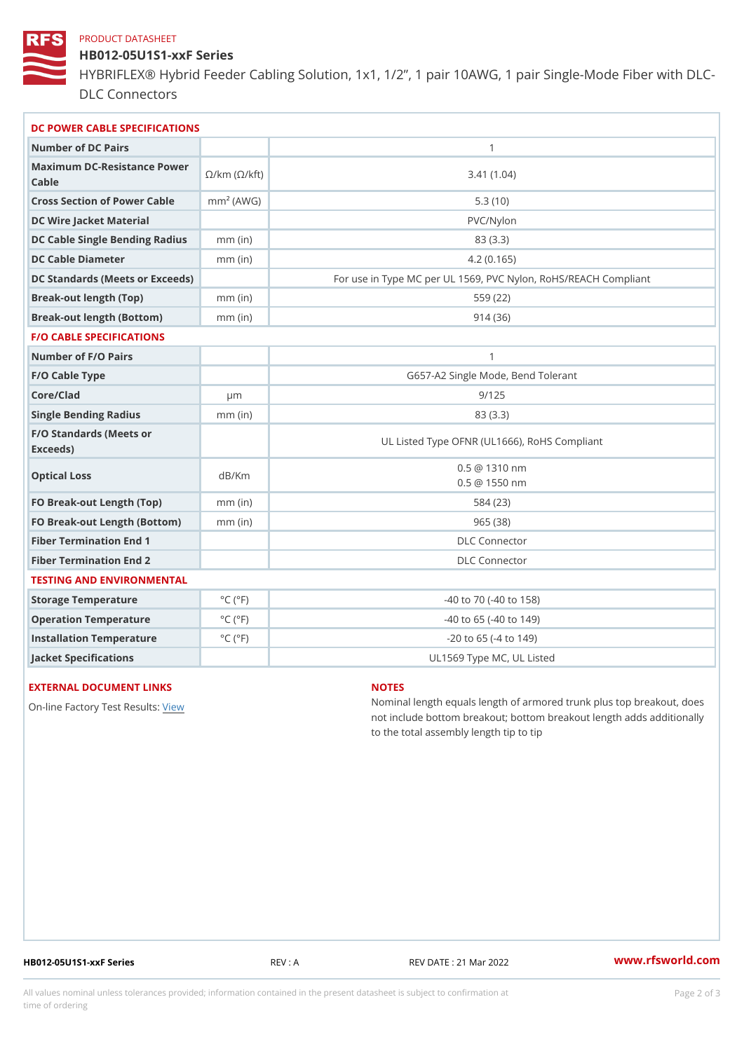#### PRODUCT DATASHEET

HB012-05U1S1-xxF Series HYBRIFLEX® Hybrid Feeder Cabling Solution, 1x1, 1/2, 1 pair 10AWG, DLC Connectors

| DC POWER CABLE SPECIFICATIONS                   |                             |                                                      |
|-------------------------------------------------|-----------------------------|------------------------------------------------------|
| Number of DC Pairs                              |                             | $\mathbf{1}$                                         |
| Maximum DC-Resistance Power (©/kft)<br>$C$ able |                             | 3.41(1.04)                                           |
| Cross Section of Power Cnamb Pe (A W G)         |                             | 5.3(10)                                              |
| DC Wire Jacket Material                         |                             | PVC/Nylon                                            |
| DC Cable Single Bending Rmamdi(uish             |                             | 83 (3.3)                                             |
| DC Cable Diameter                               | $mm$ (in)                   | 4.2(0.165)                                           |
| DC Standards (Meets or Exceeds)                 |                             | For use in Type MC per UL 1569, PVC Nylon, RoHS/REAC |
| Break-out length (Top)                          | mm (in)                     | 559 (22)                                             |
| Break-out length (Bottom) mm (in)               |                             | 914(36)                                              |
| <b>F/O CABLE SPECIFICATIONS</b>                 |                             |                                                      |
| Number of F/O Pairs                             |                             | $\mathbf{1}$                                         |
| F/O Cable Type                                  |                             | G657-A2 Single Mode, Bend Tolerant                   |
| Core/Clad                                       | µ m                         | 9/125                                                |
| Single Bending Radius                           | $mm$ (in)                   | 83 (3.3)                                             |
| F/O Standards (Meets or<br>Exceeds)             |                             | UL Listed Type OFNR (UL1666), RoHS Compliant         |
| Optical Loss                                    | dB/Km                       | $0.5 \ @ \ 1310 \ nm$<br>$0.5 \t@ 1550 nm$           |
| FO Break-out Length (Top)mm (in                 |                             | 584 (23)                                             |
| FO Break-out Length (Bottomm) (in)              |                             | 965(38)                                              |
| Fiber Termination End                           |                             | DLC Connector                                        |
| Fiber Termination End 2                         |                             | <b>DLC</b> Connector                                 |
| TESTING AND ENVIRONMENTAL                       |                             |                                                      |
| Storage Temperature                             | $^{\circ}$ C ( $^{\circ}$ F | $-40$ to $70$ ( $-40$ to $158$ )                     |
| Operation Temperature                           | $^{\circ}$ C ( $^{\circ}$ F | $-40$ to $65$ ( $-40$ to $149$ )                     |
| Installation Temperature                        | $^{\circ}$ C ( $^{\circ}$ F | $-20$ to 65 ( $-4$ to 149)                           |
| Jacket Specifications                           |                             | UL1569 Type MC, UL Listed                            |

# EXTERNAL DOCUMENT LINKS

On-line Factory Te[s](https://www.rfsworld.com/pictures/userfiles/programs/AAST Latest Version.zip)teRvesults:

### NOTES

Nominal length equals length of armored trunk plus not include bottom breakout; bottom breakout length to the total assembly length tip to tip

HB012-05U1S1-xxF Series REV : A REV DATE : 21 Mar 2022 WWW.rfsworld.com